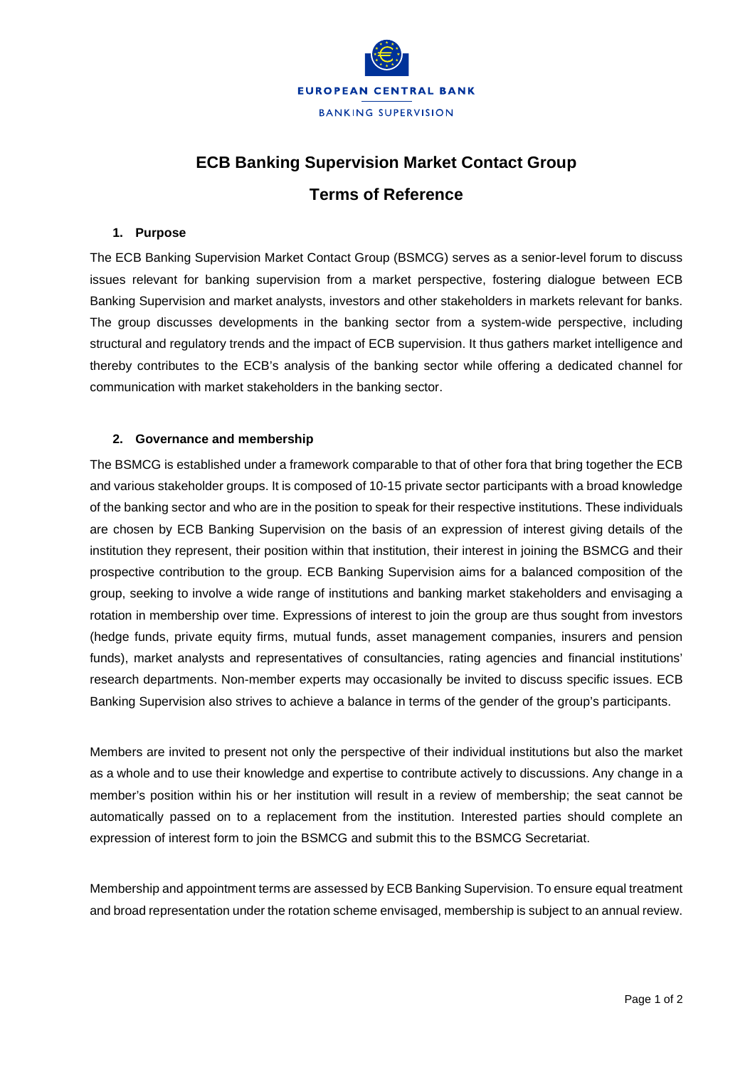

# **ECB Banking Supervision Market Contact Group Terms of Reference**

#### **1. Purpose**

The ECB Banking Supervision Market Contact Group (BSMCG) serves as a senior-level forum to discuss issues relevant for banking supervision from a market perspective, fostering dialogue between ECB Banking Supervision and market analysts, investors and other stakeholders in markets relevant for banks. The group discusses developments in the banking sector from a system-wide perspective, including structural and regulatory trends and the impact of ECB supervision. It thus gathers market intelligence and thereby contributes to the ECB's analysis of the banking sector while offering a dedicated channel for communication with market stakeholders in the banking sector.

### **2. Governance and membership**

The BSMCG is established under a framework comparable to that of other fora that bring together the ECB and various stakeholder groups. It is composed of 10-15 private sector participants with a broad knowledge of the banking sector and who are in the position to speak for their respective institutions. These individuals are chosen by ECB Banking Supervision on the basis of an expression of interest giving details of the institution they represent, their position within that institution, their interest in joining the BSMCG and their prospective contribution to the group. ECB Banking Supervision aims for a balanced composition of the group, seeking to involve a wide range of institutions and banking market stakeholders and envisaging a rotation in membership over time. Expressions of interest to join the group are thus sought from investors (hedge funds, private equity firms, mutual funds, asset management companies, insurers and pension funds), market analysts and representatives of consultancies, rating agencies and financial institutions' research departments. Non-member experts may occasionally be invited to discuss specific issues. ECB Banking Supervision also strives to achieve a balance in terms of the gender of the group's participants.

Members are invited to present not only the perspective of their individual institutions but also the market as a whole and to use their knowledge and expertise to contribute actively to discussions. Any change in a member's position within his or her institution will result in a review of membership; the seat cannot be automatically passed on to a replacement from the institution. Interested parties should complete an expression of interest form to join the BSMCG and submit this to the BSMCG Secretariat.

Membership and appointment terms are assessed by ECB Banking Supervision. To ensure equal treatment and broad representation under the rotation scheme envisaged, membership is subject to an annual review.